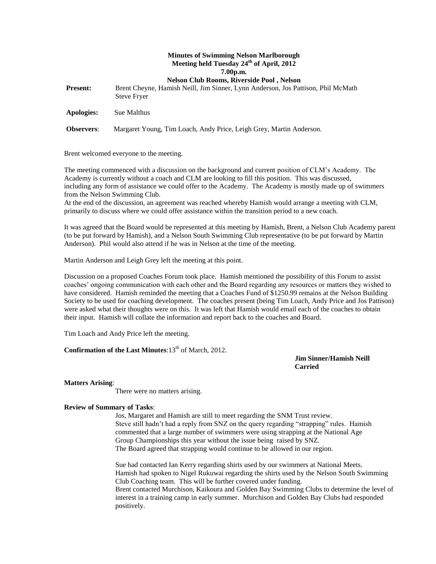### **Minutes of Swimming Nelson Marlborough Meeting held Tuesday 24th of April, 2012 7.00p.m. Nelson Club Rooms, Riverside Pool , Nelson**

|                   | TWISON CRUD INDUINS, INTERSIVE I OOI , TWISON                                                          |  |  |  |  |  |
|-------------------|--------------------------------------------------------------------------------------------------------|--|--|--|--|--|
| <b>Present:</b>   | Brent Cheyne, Hamish Neill, Jim Sinner, Lynn Anderson, Jos Pattison, Phil McMath<br><b>Steve Fryer</b> |  |  |  |  |  |
| Apologies:        | Sue Malthus                                                                                            |  |  |  |  |  |
| <b>Observers:</b> | Margaret Young, Tim Loach, Andy Price, Leigh Grey, Martin Anderson.                                    |  |  |  |  |  |

Brent welcomed everyone to the meeting.

The meeting commenced with a discussion on the background and current position of CLM's Academy. The Academy is currently without a coach and CLM are looking to fill this position. This was discussed, including any form of assistance we could offer to the Academy. The Academy is mostly made up of swimmers from the Nelson Swimming Club.

At the end of the discussion, an agreement was reached whereby Hamish would arrange a meeting with CLM, primarily to discuss where we could offer assistance within the transition period to a new coach.

It was agreed that the Board would be represented at this meeting by Hamish, Brent, a Nelson Club Academy parent (to be put forward by Hamish), and a Nelson South Swimming Club representative (to be put forward by Martin Anderson). Phil would also attend if he was in Nelson at the time of the meeting.

Martin Anderson and Leigh Grey left the meeting at this point.

Discussion on a proposed Coaches Forum took place. Hamish mentioned the possibility of this Forum to assist coaches' ongoing communication with each other and the Board regarding any resources or matters they wished to have considered. Hamish reminded the meeting that a Coaches Fund of \$1250.99 remains at the Nelson Building Society to be used for coaching development. The coaches present (being Tim Loach, Andy Price and Jos Pattison) were asked what their thoughts were on this. It was left that Hamish would email each of the coaches to obtain their input. Hamish will collate the information and report back to the coaches and Board.

Tim Loach and Andy Price left the meeting.

### **Confirmation of the Last Minutes:**13<sup>th</sup> of March, 2012.

**Jim Sinner/Hamish Neill Carried**

### **Matters Arising**:

There were no matters arising.

### **Review of Summary of Tasks**:

Jos, Margaret and Hamish are still to meet regarding the SNM Trust review. Steve still hadn't had a reply from SNZ on the query regarding "strapping" rules. Hamish commented that a large number of swimmers were using strapping at the National Age Group Championships this year without the issue being raised by SNZ. The Board agreed that strapping would continue to be allowed in our region.

Sue had contacted Ian Kerry regarding shirts used by our swimmers at National Meets. Hamish had spoken to Nigel Rukuwai regarding the shirts used by the Nelson South Swimming Club Coaching team. This will be further covered under funding. Brent contacted Murchison, Kaikoura and Golden Bay Swimming Clubs to determine the level of interest in a training camp in early summer. Murchison and Golden Bay Clubs had responded positively.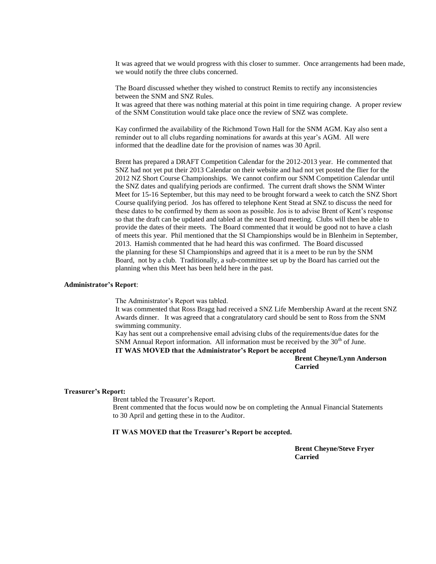It was agreed that we would progress with this closer to summer. Once arrangements had been made, we would notify the three clubs concerned.

The Board discussed whether they wished to construct Remits to rectify any inconsistencies between the SNM and SNZ Rules.

It was agreed that there was nothing material at this point in time requiring change. A proper review of the SNM Constitution would take place once the review of SNZ was complete.

Kay confirmed the availability of the Richmond Town Hall for the SNM AGM. Kay also sent a reminder out to all clubs regarding nominations for awards at this year's AGM. All were informed that the deadline date for the provision of names was 30 April.

Brent has prepared a DRAFT Competition Calendar for the 2012-2013 year. He commented that SNZ had not yet put their 2013 Calendar on their website and had not yet posted the flier for the 2012 NZ Short Course Championships. We cannot confirm our SNM Competition Calendar until the SNZ dates and qualifying periods are confirmed. The current draft shows the SNM Winter Meet for 15-16 September, but this may need to be brought forward a week to catch the SNZ Short Course qualifying period. Jos has offered to telephone Kent Stead at SNZ to discuss the need for these dates to be confirmed by them as soon as possible. Jos is to advise Brent of Kent's response so that the draft can be updated and tabled at the next Board meeting. Clubs will then be able to provide the dates of their meets. The Board commented that it would be good not to have a clash of meets this year. Phil mentioned that the SI Championships would be in Blenheim in September, 2013. Hamish commented that he had heard this was confirmed. The Board discussed the planning for these SI Championships and agreed that it is a meet to be run by the SNM Board, not by a club. Traditionally, a sub-committee set up by the Board has carried out the planning when this Meet has been held here in the past.

### **Administrator's Report**:

The Administrator's Report was tabled.

It was commented that Ross Bragg had received a SNZ Life Membership Award at the recent SNZ Awards dinner. It was agreed that a congratulatory card should be sent to Ross from the SNM swimming community.

Kay has sent out a comprehensive email advising clubs of the requirements/due dates for the SNM Annual Report information. All information must be received by the  $30<sup>th</sup>$  of June. **IT WAS MOVED that the Administrator's Report be accepted**

> **Brent Cheyne/Lynn Anderson Carried**

### **Treasurer's Report:**

Brent tabled the Treasurer's Report.

 Brent commented that the focus would now be on completing the Annual Financial Statements to 30 April and getting these in to the Auditor.

### **IT WAS MOVED that the Treasurer's Report be accepted.**

**Brent Cheyne/Steve Fryer Carried**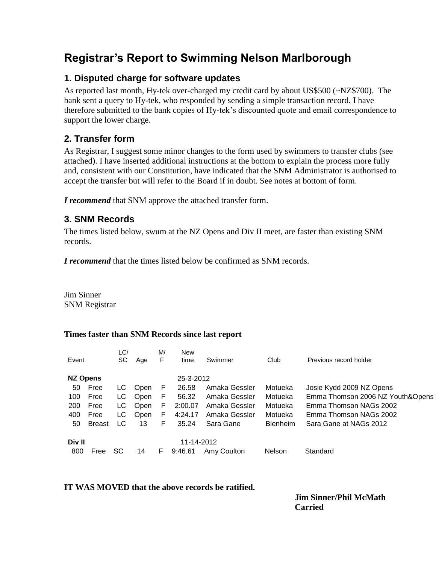# **Registrar's Report to Swimming Nelson Marlborough**

## **1. Disputed charge for software updates**

As reported last month, Hy-tek over-charged my credit card by about US\$500 (~NZ\$700). The bank sent a query to Hy-tek, who responded by sending a simple transaction record. I have therefore submitted to the bank copies of Hy-tek's discounted quote and email correspondence to support the lower charge.

# **2. Transfer form**

As Registrar, I suggest some minor changes to the form used by swimmers to transfer clubs (see attached). I have inserted additional instructions at the bottom to explain the process more fully and, consistent with our Constitution, have indicated that the SNM Administrator is authorised to accept the transfer but will refer to the Board if in doubt. See notes at bottom of form.

*I recommend* that SNM approve the attached transfer form.

# **3. SNM Records**

The times listed below, swum at the NZ Opens and Div II meet, are faster than existing SNM records.

*I recommend* that the times listed below be confirmed as SNM records.

Jim Sinner SNM Registrar

### **Times faster than SNM Records since last report**

| Event           |               | LC/<br>SC | Age         | M/<br>F    | <b>New</b><br>time | Swimmer       | Club            | Previous record holder           |  |
|-----------------|---------------|-----------|-------------|------------|--------------------|---------------|-----------------|----------------------------------|--|
| <b>NZ Opens</b> |               |           |             |            |                    | 25-3-2012     |                 |                                  |  |
| 50              | Free          | LC.       | Open        | F          | 26.58              | Amaka Gessler | Motueka         | Josie Kydd 2009 NZ Opens         |  |
| 100             | Free          | LC.       | Open        | F          | 56.32              | Amaka Gessler | Motueka         | Emma Thomson 2006 NZ Youth&Opens |  |
| 200             | Free          | LC.       | Open        | F.         | 2:00.07            | Amaka Gessler | Motueka         | Emma Thomson NAGs 2002           |  |
| 400             | Free          | LC        | <b>Open</b> | F          | 4:24.17            | Amaka Gessler | Motueka         | Emma Thomson NAGs 2002           |  |
| 50              | <b>Breast</b> | LC        | 13          | F          | 35.24              | Sara Gane     | <b>Blenheim</b> | Sara Gane at NAGs 2012           |  |
| Div II          |               |           |             | 11-14-2012 |                    |               |                 |                                  |  |
| 800             | Free          | SC        | 14          | F          | 9:46.61            | Amy Coulton   | <b>Nelson</b>   | Standard                         |  |

**IT WAS MOVED that the above records be ratified.**

**Jim Sinner/Phil McMath Carried**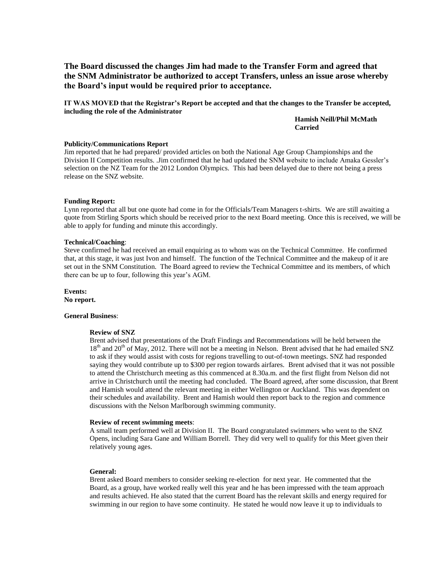**The Board discussed the changes Jim had made to the Transfer Form and agreed that the SNM Administrator be authorized to accept Transfers, unless an issue arose whereby the Board's input would be required prior to acceptance.**

**IT WAS MOVED that the Registrar's Report be accepted and that the changes to the Transfer be accepted, including the role of the Administrator**

**Hamish Neill/Phil McMath Carried**

### **Publicity/Communications Report**

Jim reported that he had prepared/ provided articles on both the National Age Group Championships and the Division II Competition results. .Jim confirmed that he had updated the SNM website to include Amaka Gessler's selection on the NZ Team for the 2012 London Olympics. This had been delayed due to there not being a press release on the SNZ website.

#### **Funding Report:**

Lynn reported that all but one quote had come in for the Officials/Team Managers t-shirts. We are still awaiting a quote from Stirling Sports which should be received prior to the next Board meeting. Once this is received, we will be able to apply for funding and minute this accordingly.

### **Technical/Coaching**:

Steve confirmed he had received an email enquiring as to whom was on the Technical Committee. He confirmed that, at this stage, it was just Ivon and himself. The function of the Technical Committee and the makeup of it are set out in the SNM Constitution. The Board agreed to review the Technical Committee and its members, of which there can be up to four, following this year's AGM.

**Events:**

**No report.**

### **General Business**:

### **Review of SNZ**

Brent advised that presentations of the Draft Findings and Recommendations will be held between the 18<sup>th</sup> and 20<sup>th</sup> of May, 2012. There will not be a meeting in Nelson. Brent advised that he had emailed SNZ to ask if they would assist with costs for regions travelling to out-of-town meetings. SNZ had responded saying they would contribute up to \$300 per region towards airfares. Brent advised that it was not possible to attend the Christchurch meeting as this commenced at 8.30a.m. and the first flight from Nelson did not arrive in Christchurch until the meeting had concluded. The Board agreed, after some discussion, that Brent and Hamish would attend the relevant meeting in either Wellington or Auckland. This was dependent on their schedules and availability. Brent and Hamish would then report back to the region and commence discussions with the Nelson Marlborough swimming community.

#### **Review of recent swimming meets**:

A small team performed well at Division II. The Board congratulated swimmers who went to the SNZ Opens, including Sara Gane and William Borrell. They did very well to qualify for this Meet given their relatively young ages.

### **General:**

Brent asked Board members to consider seeking re-election for next year. He commented that the Board, as a group, have worked really well this year and he has been impressed with the team approach and results achieved. He also stated that the current Board has the relevant skills and energy required for swimming in our region to have some continuity. He stated he would now leave it up to individuals to